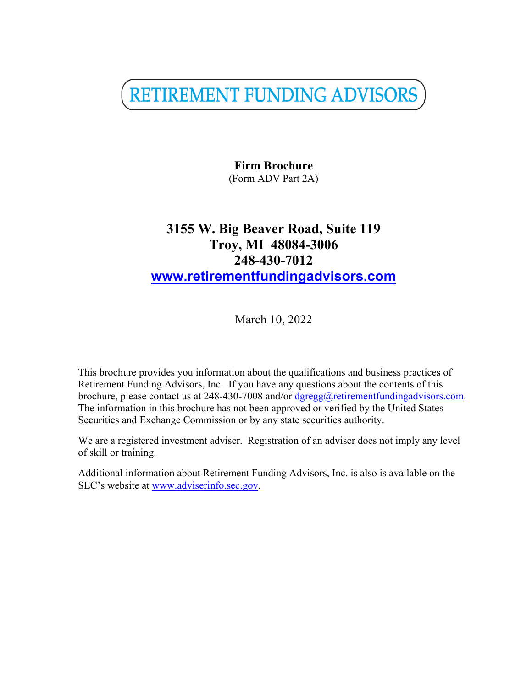RETIREMENT FUNDING ADVISORS

**Firm Brochure** (Form ADV Part 2A)

# **3155 W. Big Beaver Road, Suite 119 Troy, MI 48084-3006 248-430-7012 [www.retirementfundingadvisors.com](http://www.retirementfundingadvisors.com/)**

March 10, 2022

This brochure provides you information about the qualifications and business practices of Retirement Funding Advisors, Inc. If you have any questions about the contents of this brochure, please contact us at 248-430-7008 and/or [dgregg@retirementfundingadvisors.com.](mailto:dgregg@retirementfundingadvisors.com) The information in this brochure has not been approved or verified by the United States Securities and Exchange Commission or by any state securities authority.

We are a registered investment adviser. Registration of an adviser does not imply any level of skill or training.

Additional information about Retirement Funding Advisors, Inc. is also is available on the SEC's website at [www.adviserinfo.sec.gov](http://www.adviserinfo.sec.gov/).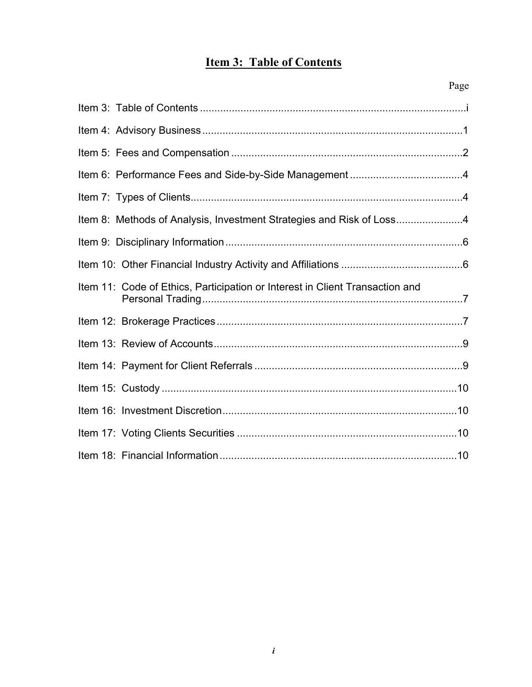# <span id="page-1-0"></span>**Item 3: Table of Contents**

|                                                                              | Page |
|------------------------------------------------------------------------------|------|
|                                                                              |      |
|                                                                              |      |
|                                                                              |      |
|                                                                              |      |
|                                                                              |      |
| Item 8: Methods of Analysis, Investment Strategies and Risk of Loss4         |      |
|                                                                              |      |
|                                                                              |      |
| Item 11: Code of Ethics, Participation or Interest in Client Transaction and |      |
|                                                                              |      |
|                                                                              |      |
|                                                                              |      |
|                                                                              |      |
|                                                                              |      |
|                                                                              |      |
|                                                                              |      |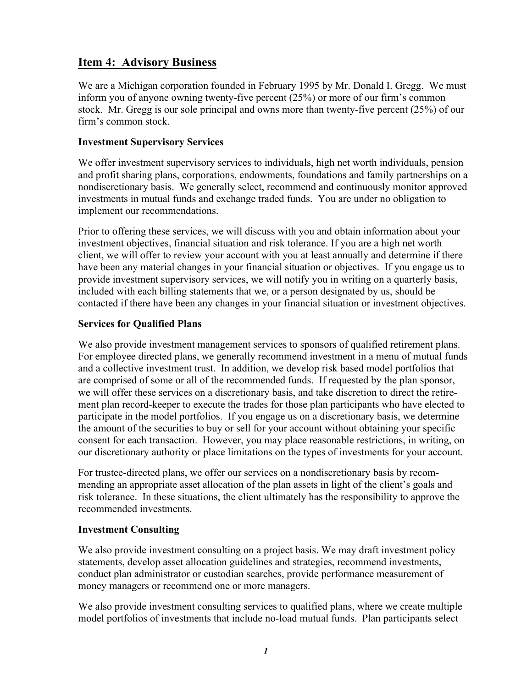## <span id="page-2-0"></span>**Item 4: Advisory Business**

We are a Michigan corporation founded in February 1995 by Mr. Donald I. Gregg. We must inform you of anyone owning twenty-five percent (25%) or more of our firm's common stock. Mr. Gregg is our sole principal and owns more than twenty-five percent (25%) of our firm's common stock.

#### **Investment Supervisory Services**

We offer investment supervisory services to individuals, high net worth individuals, pension and profit sharing plans, corporations, endowments, foundations and family partnerships on a nondiscretionary basis. We generally select, recommend and continuously monitor approved investments in mutual funds and exchange traded funds. You are under no obligation to implement our recommendations.

Prior to offering these services, we will discuss with you and obtain information about your investment objectives, financial situation and risk tolerance. If you are a high net worth client, we will offer to review your account with you at least annually and determine if there have been any material changes in your financial situation or objectives. If you engage us to provide investment supervisory services, we will notify you in writing on a quarterly basis, included with each billing statements that we, or a person designated by us, should be contacted if there have been any changes in your financial situation or investment objectives.

#### **Services for Qualified Plans**

We also provide investment management services to sponsors of qualified retirement plans. For employee directed plans, we generally recommend investment in a menu of mutual funds and a collective investment trust. In addition, we develop risk based model portfolios that are comprised of some or all of the recommended funds. If requested by the plan sponsor, we will offer these services on a discretionary basis, and take discretion to direct the retirement plan record-keeper to execute the trades for those plan participants who have elected to participate in the model portfolios. If you engage us on a discretionary basis, we determine the amount of the securities to buy or sell for your account without obtaining your specific consent for each transaction. However, you may place reasonable restrictions, in writing, on our discretionary authority or place limitations on the types of investments for your account.

For trustee-directed plans, we offer our services on a nondiscretionary basis by recommending an appropriate asset allocation of the plan assets in light of the client's goals and risk tolerance. In these situations, the client ultimately has the responsibility to approve the recommended investments.

#### **Investment Consulting**

We also provide investment consulting on a project basis. We may draft investment policy statements, develop asset allocation guidelines and strategies, recommend investments, conduct plan administrator or custodian searches, provide performance measurement of money managers or recommend one or more managers.

We also provide investment consulting services to qualified plans, where we create multiple model portfolios of investments that include no-load mutual funds. Plan participants select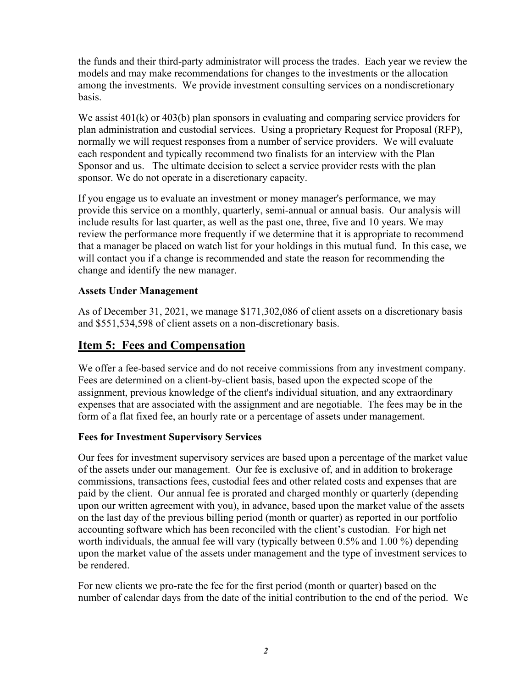the funds and their third-party administrator will process the trades. Each year we review the models and may make recommendations for changes to the investments or the allocation among the investments. We provide investment consulting services on a nondiscretionary basis.

We assist  $401(k)$  or  $403(b)$  plan sponsors in evaluating and comparing service providers for plan administration and custodial services. Using a proprietary Request for Proposal (RFP), normally we will request responses from a number of service providers. We will evaluate each respondent and typically recommend two finalists for an interview with the Plan Sponsor and us. The ultimate decision to select a service provider rests with the plan sponsor. We do not operate in a discretionary capacity.

If you engage us to evaluate an investment or money manager's performance, we may provide this service on a monthly, quarterly, semi-annual or annual basis. Our analysis will include results for last quarter, as well as the past one, three, five and 10 years. We may review the performance more frequently if we determine that it is appropriate to recommend that a manager be placed on watch list for your holdings in this mutual fund. In this case, we will contact you if a change is recommended and state the reason for recommending the change and identify the new manager.

#### **Assets Under Management**

As of December 31, 2021, we manage \$171,302,086 of client assets on a discretionary basis and \$551,534,598 of client assets on a non-discretionary basis.

## <span id="page-3-0"></span>**Item 5: Fees and Compensation**

We offer a fee-based service and do not receive commissions from any investment company. Fees are determined on a client-by-client basis, based upon the expected scope of the assignment, previous knowledge of the client's individual situation, and any extraordinary expenses that are associated with the assignment and are negotiable. The fees may be in the form of a flat fixed fee, an hourly rate or a percentage of assets under management.

#### **Fees for Investment Supervisory Services**

Our fees for investment supervisory services are based upon a percentage of the market value of the assets under our management. Our fee is exclusive of, and in addition to brokerage commissions, transactions fees, custodial fees and other related costs and expenses that are paid by the client. Our annual fee is prorated and charged monthly or quarterly (depending upon our written agreement with you), in advance, based upon the market value of the assets on the last day of the previous billing period (month or quarter) as reported in our portfolio accounting software which has been reconciled with the client's custodian. For high net worth individuals, the annual fee will vary (typically between 0.5% and 1.00 %) depending upon the market value of the assets under management and the type of investment services to be rendered.

For new clients we pro-rate the fee for the first period (month or quarter) based on the number of calendar days from the date of the initial contribution to the end of the period. We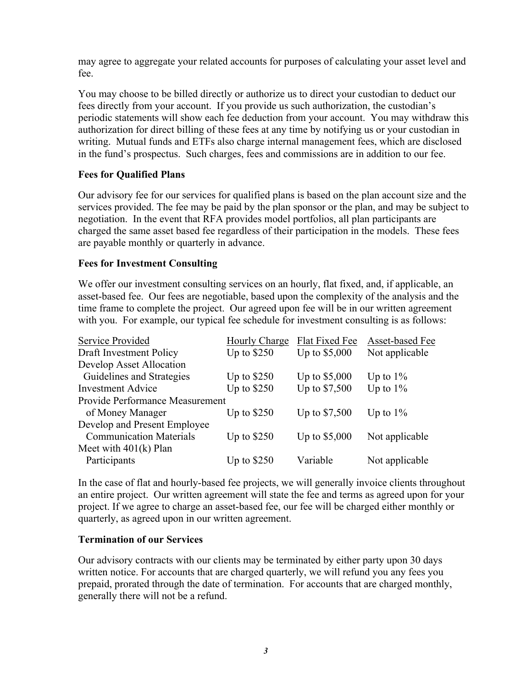may agree to aggregate your related accounts for purposes of calculating your asset level and fee.

You may choose to be billed directly or authorize us to direct your custodian to deduct our fees directly from your account. If you provide us such authorization, the custodian's periodic statements will show each fee deduction from your account. You may withdraw this authorization for direct billing of these fees at any time by notifying us or your custodian in writing. Mutual funds and ETFs also charge internal management fees, which are disclosed in the fund's prospectus. Such charges, fees and commissions are in addition to our fee.

#### **Fees for Qualified Plans**

Our advisory fee for our services for qualified plans is based on the plan account size and the services provided. The fee may be paid by the plan sponsor or the plan, and may be subject to negotiation. In the event that RFA provides model portfolios, all plan participants are charged the same asset based fee regardless of their participation in the models. These fees are payable monthly or quarterly in advance.

#### **Fees for Investment Consulting**

We offer our investment consulting services on an hourly, flat fixed, and, if applicable, an asset-based fee. Our fees are negotiable, based upon the complexity of the analysis and the time frame to complete the project. Our agreed upon fee will be in our written agreement with you. For example, our typical fee schedule for investment consulting is as follows:

| Hourly Charge                          | Flat Fixed Fee | Asset-based Fee |  |  |
|----------------------------------------|----------------|-----------------|--|--|
| Up to $$250$                           | Up to \$5,000  | Not applicable  |  |  |
|                                        |                |                 |  |  |
| Up to $$250$                           | Up to \$5,000  | Up to $1\%$     |  |  |
| Up to $$250$                           | Up to \$7,500  | Up to $1\%$     |  |  |
| <b>Provide Performance Measurement</b> |                |                 |  |  |
| Up to $$250$                           | Up to \$7,500  | Up to $1\%$     |  |  |
|                                        |                |                 |  |  |
| Up to $$250$                           | Up to \$5,000  | Not applicable  |  |  |
|                                        |                |                 |  |  |
| Up to $$250$                           | Variable       | Not applicable  |  |  |
|                                        |                |                 |  |  |

In the case of flat and hourly-based fee projects, we will generally invoice clients throughout an entire project. Our written agreement will state the fee and terms as agreed upon for your project. If we agree to charge an asset-based fee, our fee will be charged either monthly or quarterly, as agreed upon in our written agreement.

#### **Termination of our Services**

Our advisory contracts with our clients may be terminated by either party upon 30 days written notice. For accounts that are charged quarterly, we will refund you any fees you prepaid, prorated through the date of termination. For accounts that are charged monthly, generally there will not be a refund.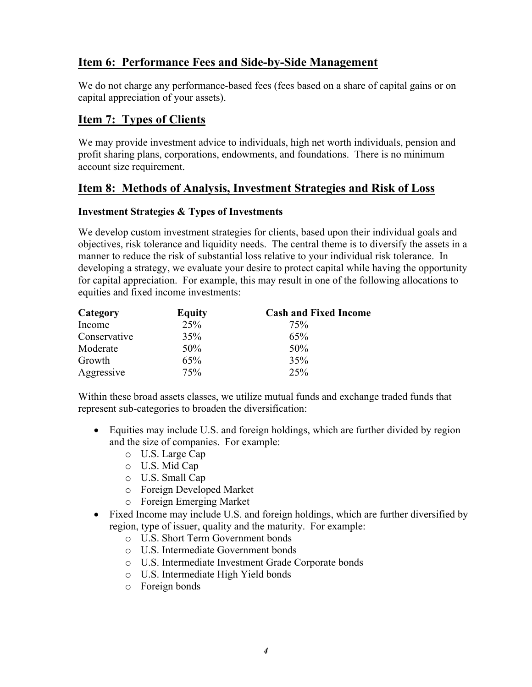## <span id="page-5-0"></span>**Item 6: Performance Fees and Side-by-Side Management**

We do not charge any performance-based fees (fees based on a share of capital gains or on capital appreciation of your assets).

## <span id="page-5-1"></span>**Item 7: Types of Clients**

We may provide investment advice to individuals, high net worth individuals, pension and profit sharing plans, corporations, endowments, and foundations. There is no minimum account size requirement.

## <span id="page-5-2"></span>**Item 8: Methods of Analysis, Investment Strategies and Risk of Loss**

#### **Investment Strategies & Types of Investments**

We develop custom investment strategies for clients, based upon their individual goals and objectives, risk tolerance and liquidity needs. The central theme is to diversify the assets in a manner to reduce the risk of substantial loss relative to your individual risk tolerance. In developing a strategy, we evaluate your desire to protect capital while having the opportunity for capital appreciation. For example, this may result in one of the following allocations to equities and fixed income investments:

| Category     | <b>Equity</b> | <b>Cash and Fixed Income</b> |
|--------------|---------------|------------------------------|
| Income       | 25%           | 75%                          |
| Conservative | 35%           | 65%                          |
| Moderate     | 50%           | 50%                          |
| Growth       | 65%           | 35%                          |
| Aggressive   | 75%           | 25%                          |

Within these broad assets classes, we utilize mutual funds and exchange traded funds that represent sub-categories to broaden the diversification:

- Equities may include U.S. and foreign holdings, which are further divided by region and the size of companies. For example:
	- o U.S. Large Cap
	- o U.S. Mid Cap
	- o U.S. Small Cap
	- o Foreign Developed Market
	- o Foreign Emerging Market
- Fixed Income may include U.S. and foreign holdings, which are further diversified by region, type of issuer, quality and the maturity. For example:
	- o U.S. Short Term Government bonds
	- o U.S. Intermediate Government bonds
	- o U.S. Intermediate Investment Grade Corporate bonds
	- o U.S. Intermediate High Yield bonds
	- o Foreign bonds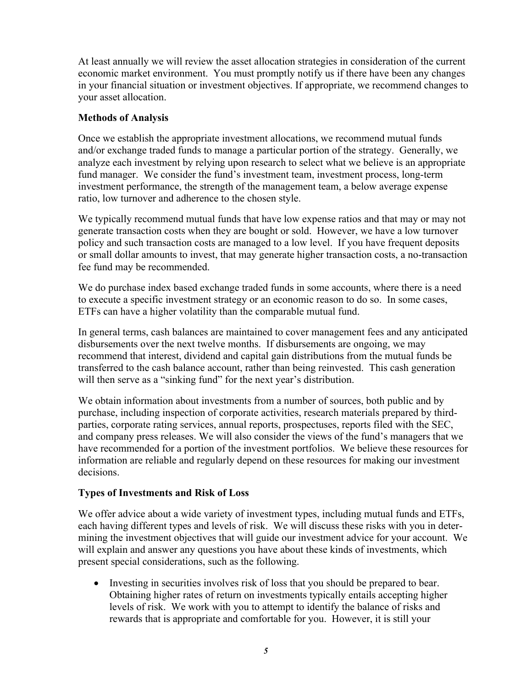At least annually we will review the asset allocation strategies in consideration of the current economic market environment. You must promptly notify us if there have been any changes in your financial situation or investment objectives. If appropriate, we recommend changes to your asset allocation.

#### **Methods of Analysis**

Once we establish the appropriate investment allocations, we recommend mutual funds and/or exchange traded funds to manage a particular portion of the strategy. Generally, we analyze each investment by relying upon research to select what we believe is an appropriate fund manager. We consider the fund's investment team, investment process, long-term investment performance, the strength of the management team, a below average expense ratio, low turnover and adherence to the chosen style.

We typically recommend mutual funds that have low expense ratios and that may or may not generate transaction costs when they are bought or sold. However, we have a low turnover policy and such transaction costs are managed to a low level. If you have frequent deposits or small dollar amounts to invest, that may generate higher transaction costs, a no-transaction fee fund may be recommended.

We do purchase index based exchange traded funds in some accounts, where there is a need to execute a specific investment strategy or an economic reason to do so. In some cases, ETFs can have a higher volatility than the comparable mutual fund.

In general terms, cash balances are maintained to cover management fees and any anticipated disbursements over the next twelve months. If disbursements are ongoing, we may recommend that interest, dividend and capital gain distributions from the mutual funds be transferred to the cash balance account, rather than being reinvested. This cash generation will then serve as a "sinking fund" for the next year's distribution.

We obtain information about investments from a number of sources, both public and by purchase, including inspection of corporate activities, research materials prepared by thirdparties, corporate rating services, annual reports, prospectuses, reports filed with the SEC, and company press releases. We will also consider the views of the fund's managers that we have recommended for a portion of the investment portfolios. We believe these resources for information are reliable and regularly depend on these resources for making our investment decisions.

#### **Types of Investments and Risk of Loss**

We offer advice about a wide variety of investment types, including mutual funds and ETFs, each having different types and levels of risk. We will discuss these risks with you in determining the investment objectives that will guide our investment advice for your account. We will explain and answer any questions you have about these kinds of investments, which present special considerations, such as the following.

 Investing in securities involves risk of loss that you should be prepared to bear. Obtaining higher rates of return on investments typically entails accepting higher levels of risk. We work with you to attempt to identify the balance of risks and rewards that is appropriate and comfortable for you. However, it is still your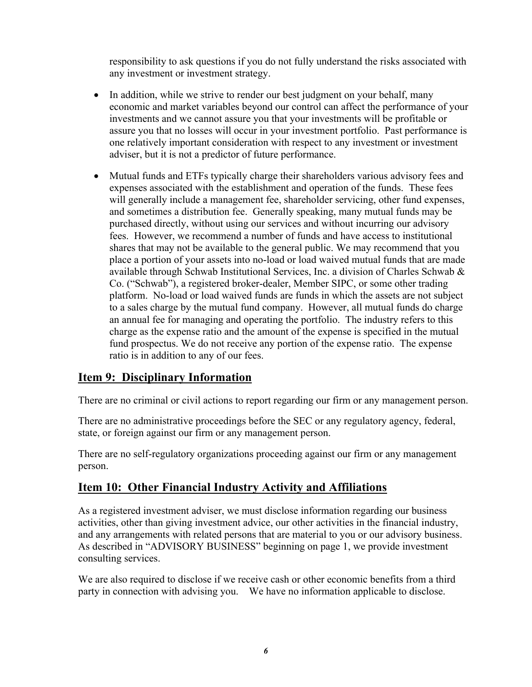responsibility to ask questions if you do not fully understand the risks associated with any investment or investment strategy.

- In addition, while we strive to render our best judgment on your behalf, many economic and market variables beyond our control can affect the performance of your investments and we cannot assure you that your investments will be profitable or assure you that no losses will occur in your investment portfolio. Past performance is one relatively important consideration with respect to any investment or investment adviser, but it is not a predictor of future performance.
- Mutual funds and ETFs typically charge their shareholders various advisory fees and expenses associated with the establishment and operation of the funds. These fees will generally include a management fee, shareholder servicing, other fund expenses, and sometimes a distribution fee. Generally speaking, many mutual funds may be purchased directly, without using our services and without incurring our advisory fees. However, we recommend a number of funds and have access to institutional shares that may not be available to the general public. We may recommend that you place a portion of your assets into no-load or load waived mutual funds that are made available through Schwab Institutional Services, Inc. a division of Charles Schwab & Co. ("Schwab"), a registered broker-dealer, Member SIPC, or some other trading platform. No-load or load waived funds are funds in which the assets are not subject to a sales charge by the mutual fund company. However, all mutual funds do charge an annual fee for managing and operating the portfolio. The industry refers to this charge as the expense ratio and the amount of the expense is specified in the mutual fund prospectus. We do not receive any portion of the expense ratio. The expense ratio is in addition to any of our fees.

### <span id="page-7-0"></span>**Item 9: Disciplinary Information**

There are no criminal or civil actions to report regarding our firm or any management person.

There are no administrative proceedings before the SEC or any regulatory agency, federal, state, or foreign against our firm or any management person.

There are no self-regulatory organizations proceeding against our firm or any management person.

#### <span id="page-7-1"></span>**Item 10: Other Financial Industry Activity and Affiliations**

As a registered investment adviser, we must disclose information regarding our business activities, other than giving investment advice, our other activities in the financial industry, and any arrangements with related persons that are material to you or our advisory business. As described in "ADVISORY BUSINESS" beginning on page [1,](#page-2-0) we provide investment consulting services.

We are also required to disclose if we receive cash or other economic benefits from a third party in connection with advising you. We have no information applicable to disclose.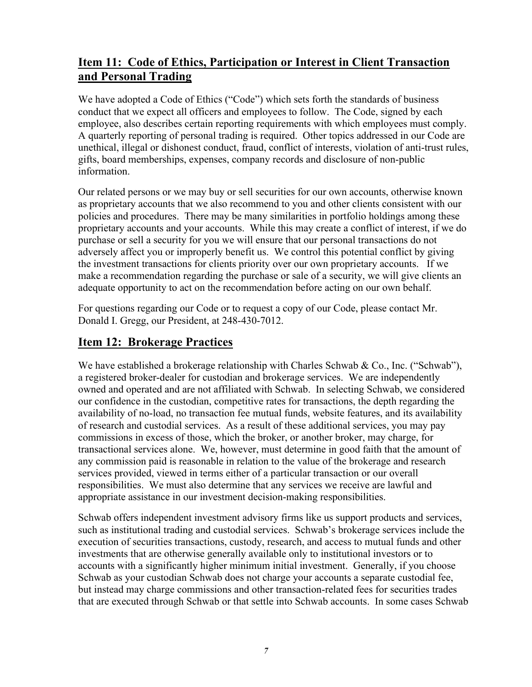## <span id="page-8-0"></span>**Item 11: Code of Ethics, Participation or Interest in Client Transaction and Personal Trading**

We have adopted a Code of Ethics ("Code") which sets forth the standards of business conduct that we expect all officers and employees to follow. The Code, signed by each employee, also describes certain reporting requirements with which employees must comply. A quarterly reporting of personal trading is required. Other topics addressed in our Code are unethical, illegal or dishonest conduct, fraud, conflict of interests, violation of anti-trust rules, gifts, board memberships, expenses, company records and disclosure of non-public information.

Our related persons or we may buy or sell securities for our own accounts, otherwise known as proprietary accounts that we also recommend to you and other clients consistent with our policies and procedures. There may be many similarities in portfolio holdings among these proprietary accounts and your accounts. While this may create a conflict of interest, if we do purchase or sell a security for you we will ensure that our personal transactions do not adversely affect you or improperly benefit us. We control this potential conflict by giving the investment transactions for clients priority over our own proprietary accounts. If we make a recommendation regarding the purchase or sale of a security, we will give clients an adequate opportunity to act on the recommendation before acting on our own behalf.

For questions regarding our Code or to request a copy of our Code, please contact Mr. Donald I. Gregg, our President, at 248-430-7012.

## <span id="page-8-1"></span>**Item 12: Brokerage Practices**

We have established a brokerage relationship with Charles Schwab  $\&$  Co., Inc. ("Schwab"), a registered broker-dealer for custodian and brokerage services. We are independently owned and operated and are not affiliated with Schwab. In selecting Schwab, we considered our confidence in the custodian, competitive rates for transactions, the depth regarding the availability of no-load, no transaction fee mutual funds, website features, and its availability of research and custodial services. As a result of these additional services, you may pay commissions in excess of those, which the broker, or another broker, may charge, for transactional services alone. We, however, must determine in good faith that the amount of any commission paid is reasonable in relation to the value of the brokerage and research services provided, viewed in terms either of a particular transaction or our overall responsibilities. We must also determine that any services we receive are lawful and appropriate assistance in our investment decision-making responsibilities.

Schwab offers independent investment advisory firms like us support products and services, such as institutional trading and custodial services. Schwab's brokerage services include the execution of securities transactions, custody, research, and access to mutual funds and other investments that are otherwise generally available only to institutional investors or to accounts with a significantly higher minimum initial investment. Generally, if you choose Schwab as your custodian Schwab does not charge your accounts a separate custodial fee, but instead may charge commissions and other transaction-related fees for securities trades that are executed through Schwab or that settle into Schwab accounts. In some cases Schwab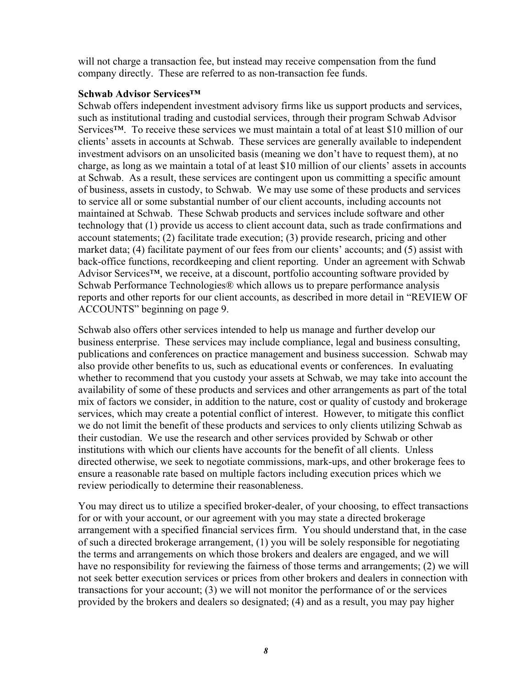will not charge a transaction fee, but instead may receive compensation from the fund company directly. These are referred to as non-transaction fee funds.

#### **Schwab Advisor Services™**

Schwab offers independent investment advisory firms like us support products and services, such as institutional trading and custodial services, through their program Schwab Advisor Services™. To receive these services we must maintain a total of at least \$10 million of our clients' assets in accounts at Schwab. These services are generally available to independent investment advisors on an unsolicited basis (meaning we don't have to request them), at no charge, as long as we maintain a total of at least \$10 million of our clients' assets in accounts at Schwab. As a result, these services are contingent upon us committing a specific amount of business, assets in custody, to Schwab. We may use some of these products and services to service all or some substantial number of our client accounts, including accounts not maintained at Schwab. These Schwab products and services include software and other technology that (1) provide us access to client account data, such as trade confirmations and account statements; (2) facilitate trade execution; (3) provide research, pricing and other market data; (4) facilitate payment of our fees from our clients' accounts; and (5) assist with back-office functions, recordkeeping and client reporting. Under an agreement with Schwab Advisor Services<sup>™</sup>, we receive, at a discount, portfolio accounting software provided by Schwab Performance Technologies® which allows us to prepare performance analysis reports and other reports for our client accounts, as described in more detail in "REVIEW OF ACCOUNTS" beginning on page [9.](#page-10-0)

Schwab also offers other services intended to help us manage and further develop our business enterprise. These services may include compliance, legal and business consulting, publications and conferences on practice management and business succession. Schwab may also provide other benefits to us, such as educational events or conferences. In evaluating whether to recommend that you custody your assets at Schwab, we may take into account the availability of some of these products and services and other arrangements as part of the total mix of factors we consider, in addition to the nature, cost or quality of custody and brokerage services, which may create a potential conflict of interest. However, to mitigate this conflict we do not limit the benefit of these products and services to only clients utilizing Schwab as their custodian. We use the research and other services provided by Schwab or other institutions with which our clients have accounts for the benefit of all clients. Unless directed otherwise, we seek to negotiate commissions, mark-ups, and other brokerage fees to ensure a reasonable rate based on multiple factors including execution prices which we review periodically to determine their reasonableness.

You may direct us to utilize a specified broker-dealer, of your choosing, to effect transactions for or with your account, or our agreement with you may state a directed brokerage arrangement with a specified financial services firm. You should understand that, in the case of such a directed brokerage arrangement, (1) you will be solely responsible for negotiating the terms and arrangements on which those brokers and dealers are engaged, and we will have no responsibility for reviewing the fairness of those terms and arrangements; (2) we will not seek better execution services or prices from other brokers and dealers in connection with transactions for your account; (3) we will not monitor the performance of or the services provided by the brokers and dealers so designated; (4) and as a result, you may pay higher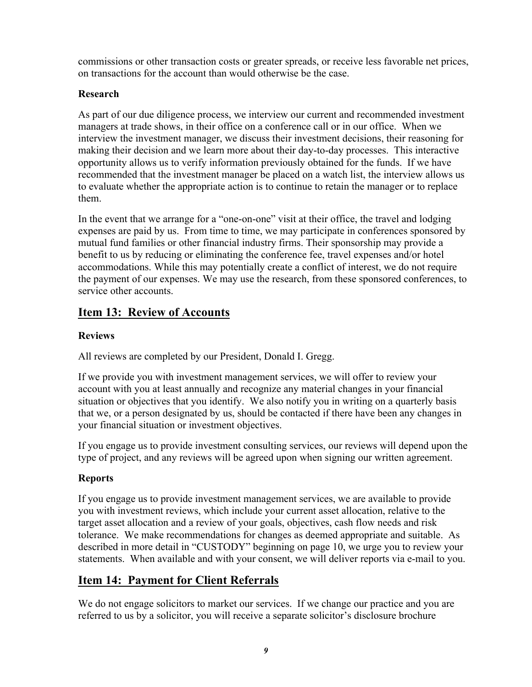commissions or other transaction costs or greater spreads, or receive less favorable net prices, on transactions for the account than would otherwise be the case.

#### **Research**

As part of our due diligence process, we interview our current and recommended investment managers at trade shows, in their office on a conference call or in our office. When we interview the investment manager, we discuss their investment decisions, their reasoning for making their decision and we learn more about their day-to-day processes. This interactive opportunity allows us to verify information previously obtained for the funds. If we have recommended that the investment manager be placed on a watch list, the interview allows us to evaluate whether the appropriate action is to continue to retain the manager or to replace them.

In the event that we arrange for a "one-on-one" visit at their office, the travel and lodging expenses are paid by us. From time to time, we may participate in conferences sponsored by mutual fund families or other financial industry firms. Their sponsorship may provide a benefit to us by reducing or eliminating the conference fee, travel expenses and/or hotel accommodations. While this may potentially create a conflict of interest, we do not require the payment of our expenses. We may use the research, from these sponsored conferences, to service other accounts.

## <span id="page-10-0"></span>**Item 13: Review of Accounts**

#### **Reviews**

All reviews are completed by our President, Donald I. Gregg.

If we provide you with investment management services, we will offer to review your account with you at least annually and recognize any material changes in your financial situation or objectives that you identify. We also notify you in writing on a quarterly basis that we, or a person designated by us, should be contacted if there have been any changes in your financial situation or investment objectives.

If you engage us to provide investment consulting services, our reviews will depend upon the type of project, and any reviews will be agreed upon when signing our written agreement.

### **Reports**

If you engage us to provide investment management services, we are available to provide you with investment reviews, which include your current asset allocation, relative to the target asset allocation and a review of your goals, objectives, cash flow needs and risk tolerance. We make recommendations for changes as deemed appropriate and suitable. As described in more detail in "CUSTODY" beginning on page [10,](#page-11-0) we urge you to review your statements. When available and with your consent, we will deliver reports via e-mail to you.

## <span id="page-10-1"></span>**Item 14: Payment for Client Referrals**

We do not engage solicitors to market our services. If we change our practice and you are referred to us by a solicitor, you will receive a separate solicitor's disclosure brochure